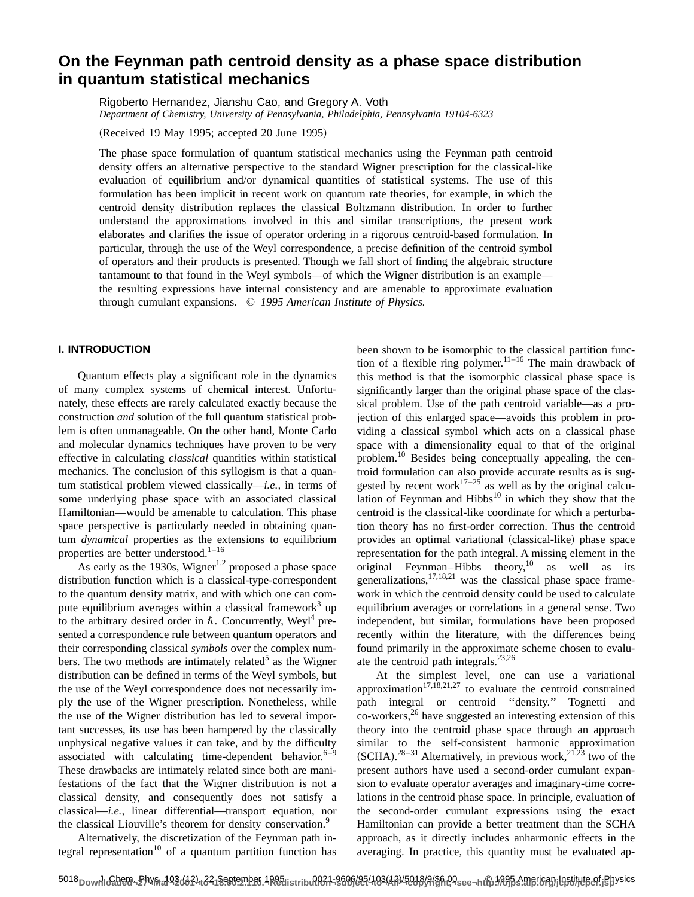# **On the Feynman path centroid density as a phase space distribution in quantum statistical mechanics**

Rigoberto Hernandez, Jianshu Cao, and Gregory A. Voth *Department of Chemistry, University of Pennsylvania, Philadelphia, Pennsylvania 19104-6323*

(Received 19 May 1995; accepted 20 June 1995)

The phase space formulation of quantum statistical mechanics using the Feynman path centroid density offers an alternative perspective to the standard Wigner prescription for the classical-like evaluation of equilibrium and/or dynamical quantities of statistical systems. The use of this formulation has been implicit in recent work on quantum rate theories, for example, in which the centroid density distribution replaces the classical Boltzmann distribution. In order to further understand the approximations involved in this and similar transcriptions, the present work elaborates and clarifies the issue of operator ordering in a rigorous centroid-based formulation. In particular, through the use of the Weyl correspondence, a precise definition of the centroid symbol of operators and their products is presented. Though we fall short of finding the algebraic structure tantamount to that found in the Weyl symbols—of which the Wigner distribution is an example the resulting expressions have internal consistency and are amenable to approximate evaluation through cumulant expansions. © *1995 American Institute of Physics.*

## **I. INTRODUCTION**

Quantum effects play a significant role in the dynamics of many complex systems of chemical interest. Unfortunately, these effects are rarely calculated exactly because the construction *and* solution of the full quantum statistical problem is often unmanageable. On the other hand, Monte Carlo and molecular dynamics techniques have proven to be very effective in calculating *classical* quantities within statistical mechanics. The conclusion of this syllogism is that a quantum statistical problem viewed classically—*i.e.,* in terms of some underlying phase space with an associated classical Hamiltonian—would be amenable to calculation. This phase space perspective is particularly needed in obtaining quantum *dynamical* properties as the extensions to equilibrium properties are better understood. $1-16$ 

As early as the 1930s, Wigner<sup>1,2</sup> proposed a phase space distribution function which is a classical-type-correspondent to the quantum density matrix, and with which one can compute equilibrium averages within a classical framework<sup>3</sup> up to the arbitrary desired order in  $\hbar$ . Concurrently, Weyl<sup>4</sup> presented a correspondence rule between quantum operators and their corresponding classical *symbols* over the complex numbers. The two methods are intimately related<sup>5</sup> as the Wigner distribution can be defined in terms of the Weyl symbols, but the use of the Weyl correspondence does not necessarily imply the use of the Wigner prescription. Nonetheless, while the use of the Wigner distribution has led to several important successes, its use has been hampered by the classically unphysical negative values it can take, and by the difficulty associated with calculating time-dependent behavior. $6-9$ These drawbacks are intimately related since both are manifestations of the fact that the Wigner distribution is not a classical density, and consequently does not satisfy a classical—*i.e.,* linear differential—transport equation, nor the classical Liouville's theorem for density conservation.<sup>9</sup>

Alternatively, the discretization of the Feynman path integral representation<sup>10</sup> of a quantum partition function has

been shown to be isomorphic to the classical partition function of a flexible ring polymer.<sup>11–16</sup> The main drawback of this method is that the isomorphic classical phase space is significantly larger than the original phase space of the classical problem. Use of the path centroid variable—as a projection of this enlarged space—avoids this problem in providing a classical symbol which acts on a classical phase space with a dimensionality equal to that of the original problem.10 Besides being conceptually appealing, the centroid formulation can also provide accurate results as is suggested by recent work $17-25$  as well as by the original calculation of Feynman and Hibbs $^{10}$  in which they show that the centroid is the classical-like coordinate for which a perturbation theory has no first-order correction. Thus the centroid provides an optimal variational (classical-like) phase space representation for the path integral. A missing element in the original Feynman–Hibbs theory,<sup>10</sup> as well as its generalizations, $17,18,21$  was the classical phase space framework in which the centroid density could be used to calculate equilibrium averages or correlations in a general sense. Two independent, but similar, formulations have been proposed recently within the literature, with the differences being found primarily in the approximate scheme chosen to evaluate the centroid path integrals. $^{23,26}$ 

At the simplest level, one can use a variational approximation<sup>17,18,21,27</sup> to evaluate the centroid constrained path integral or centroid ''density.'' Tognetti and  $\cos$ -workers,<sup>26</sup> have suggested an interesting extension of this theory into the centroid phase space through an approach similar to the self-consistent harmonic approximation  $(SCHA).^{28-31}$  Alternatively, in previous work,<sup>21,23</sup> two of the present authors have used a second-order cumulant expansion to evaluate operator averages and imaginary-time correlations in the centroid phase space. In principle, evaluation of the second-order cumulant expressions using the exact Hamiltonian can provide a better treatment than the SCHA approach, as it directly includes anharmonic effects in the averaging. In practice, this quantity must be evaluated ap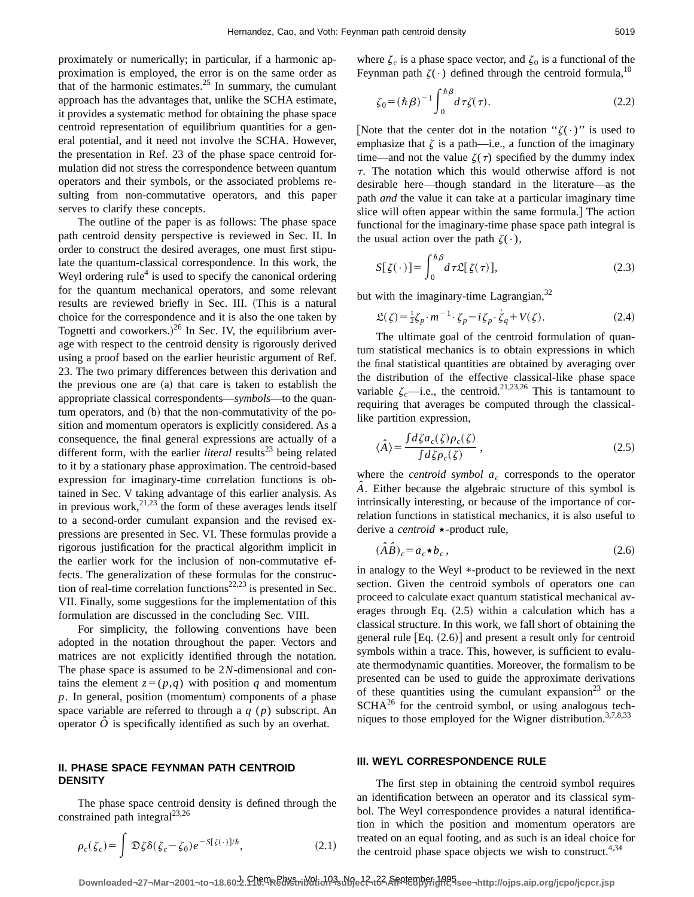proximately or numerically; in particular, if a harmonic approximation is employed, the error is on the same order as that of the harmonic estimates. $25$  In summary, the cumulant approach has the advantages that, unlike the SCHA estimate, it provides a systematic method for obtaining the phase space centroid representation of equilibrium quantities for a general potential, and it need not involve the SCHA. However, the presentation in Ref. 23 of the phase space centroid formulation did not stress the correspondence between quantum operators and their symbols, or the associated problems resulting from non-commutative operators, and this paper serves to clarify these concepts.

The outline of the paper is as follows: The phase space path centroid density perspective is reviewed in Sec. II. In order to construct the desired averages, one must first stipulate the quantum-classical correspondence. In this work, the Weyl ordering  $rule<sup>4</sup>$  is used to specify the canonical ordering for the quantum mechanical operators, and some relevant results are reviewed briefly in Sec. III. (This is a natural choice for the correspondence and it is also the one taken by Tognetti and coworkers.) $^{26}$  In Sec. IV, the equilibrium average with respect to the centroid density is rigorously derived using a proof based on the earlier heuristic argument of Ref. 23. The two primary differences between this derivation and the previous one are  $(a)$  that care is taken to establish the appropriate classical correspondents—*symbols*—to the quantum operators, and (b) that the non-commutativity of the position and momentum operators is explicitly considered. As a consequence, the final general expressions are actually of a different form, with the earlier *literal* results<sup>23</sup> being related to it by a stationary phase approximation. The centroid-based expression for imaginary-time correlation functions is obtained in Sec. V taking advantage of this earlier analysis. As in previous work,  $2^{1,23}$  the form of these averages lends itself to a second-order cumulant expansion and the revised expressions are presented in Sec. VI. These formulas provide a rigorous justification for the practical algorithm implicit in the earlier work for the inclusion of non-commutative effects. The generalization of these formulas for the construction of real-time correlation functions<sup>22,23</sup> is presented in Sec. VII. Finally, some suggestions for the implementation of this formulation are discussed in the concluding Sec. VIII.

For simplicity, the following conventions have been adopted in the notation throughout the paper. Vectors and matrices are not explicitly identified through the notation. The phase space is assumed to be 2*N*-dimensional and contains the element  $z = (p,q)$  with position *q* and momentum  $p$ . In general, position (momentum) components of a phase space variable are referred to through a *q* (*p*) subscript. An operator *Oˆ* is specifically identified as such by an overhat.

## **II. PHASE SPACE FEYNMAN PATH CENTROID DENSITY**

The phase space centroid density is defined through the constrained path integral $^{23,26}$ 

$$
\rho_c(\zeta_c) = \int \mathfrak{D}\zeta \delta(\zeta_c - \zeta_0) e^{-S[\zeta(\cdot)]/\hbar}, \qquad (2.1)
$$

where  $\zeta_c$  is a phase space vector, and  $\zeta_0$  is a functional of the Feynman path  $\zeta(\cdot)$  defined through the centroid formula,<sup>10</sup>

$$
\zeta_0 = (\hbar \beta)^{-1} \int_0^{\hbar \beta} d\tau \zeta(\tau). \tag{2.2}
$$

[Note that the center dot in the notation " $\zeta(\cdot)$ " is used to emphasize that  $\zeta$  is a path—i.e., a function of the imaginary time—and not the value  $\zeta(\tau)$  specified by the dummy index  $\tau$ . The notation which this would otherwise afford is not desirable here—though standard in the literature—as the path *and* the value it can take at a particular imaginary time slice will often appear within the same formula. The action functional for the imaginary-time phase space path integral is the usual action over the path  $\zeta(\cdot)$ ,

$$
S[\zeta(\cdot)] = \int_0^{\hbar \beta} d\tau \mathfrak{L}[\zeta(\tau)], \qquad (2.3)
$$

but with the imaginary-time Lagrangian,  $32$ 

$$
\mathfrak{L}(\zeta) = \frac{1}{2}\zeta_p \cdot m^{-1} \cdot \zeta_p - i\zeta_p \cdot \dot{\zeta}_q + V(\zeta). \tag{2.4}
$$

The ultimate goal of the centroid formulation of quantum statistical mechanics is to obtain expressions in which the final statistical quantities are obtained by averaging over the distribution of the effective classical-like phase space variable  $\zeta_c$ —i.e., the centroid.<sup>21,23,26</sup> This is tantamount to requiring that averages be computed through the classicallike partition expression,

$$
\langle \hat{A} \rangle = \frac{\int d\zeta a_c(\zeta) \rho_c(\zeta)}{\int d\zeta \rho_c(\zeta)},\tag{2.5}
$$

where the *centroid symbol a<sub>c</sub>* corresponds to the operator *Aˆ* . Either because the algebraic structure of this symbol is intrinsically interesting, or because of the importance of correlation functions in statistical mechanics, it is also useful to derive a *centroid*  $\star$ -product rule,

$$
(\hat{A}\hat{B})_c = a_c \star b_c, \qquad (2.6)
$$

in analogy to the Weyl \*-product to be reviewed in the next section. Given the centroid symbols of operators one can proceed to calculate exact quantum statistical mechanical averages through Eq.  $(2.5)$  within a calculation which has a classical structure. In this work, we fall short of obtaining the general rule  $[Eq. (2.6)]$  and present a result only for centroid symbols within a trace. This, however, is sufficient to evaluate thermodynamic quantities. Moreover, the formalism to be presented can be used to guide the approximate derivations of these quantities using the cumulant expansion<sup>23</sup> or the  $SCHA<sup>26</sup>$  for the centroid symbol, or using analogous techniques to those employed for the Wigner distribution.<sup>3,7,8,33</sup>

#### **III. WEYL CORRESPONDENCE RULE**

The first step in obtaining the centroid symbol requires an identification between an operator and its classical symbol. The Weyl correspondence provides a natural identification in which the position and momentum operators are treated on an equal footing, and as such is an ideal choice for the centroid phase space objects we wish to construct.<sup>4,34</sup>

Downloaded¬27¬Mar¬2001¬to¬18.60.2.\PhemRedistribution\%aliged\ted\@Reptemberid\@Requestion-http://ojps.aip.org/jcpo/jcpcr.jsp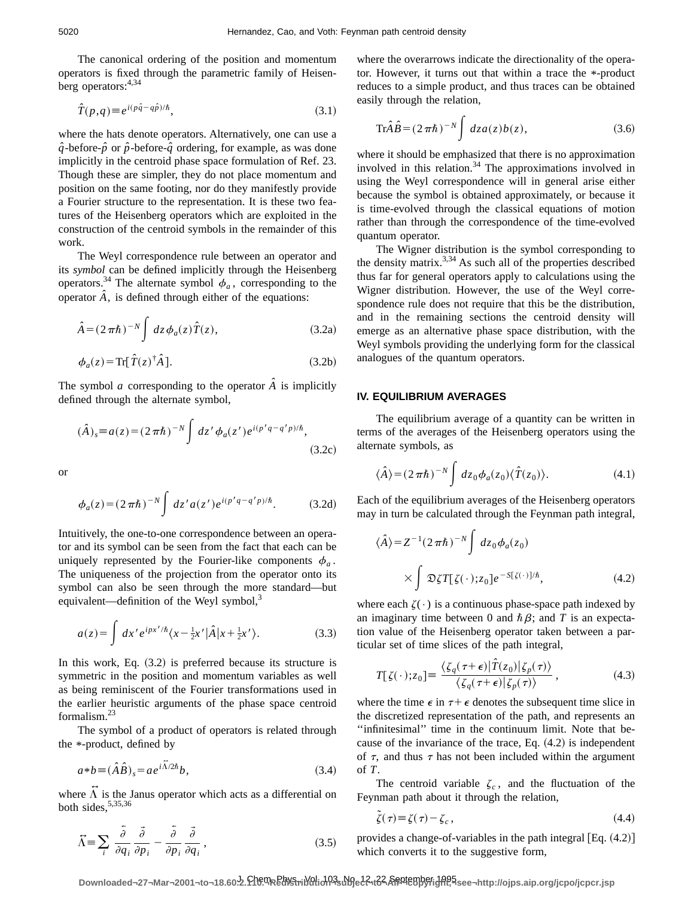The canonical ordering of the position and momentum operators is fixed through the parametric family of Heisenberg operators:4,34

$$
\hat{T}(p,q) \equiv e^{i(p\hat{q}-q\hat{p})/\hbar},\tag{3.1}
$$

where the hats denote operators. Alternatively, one can use a *qˆ*-before-*pˆ* or *pˆ* -before-*qˆ* ordering, for example, as was done implicitly in the centroid phase space formulation of Ref. 23. Though these are simpler, they do not place momentum and position on the same footing, nor do they manifestly provide a Fourier structure to the representation. It is these two features of the Heisenberg operators which are exploited in the construction of the centroid symbols in the remainder of this work.

The Weyl correspondence rule between an operator and its *symbol* can be defined implicitly through the Heisenberg operators.<sup>34</sup> The alternate symbol  $\phi_a$ , corresponding to the operator  $\hat{A}$ , is defined through either of the equations:

$$
\hat{A} = (2\pi\hbar)^{-N} \int dz \phi_a(z) \hat{T}(z), \qquad (3.2a)
$$

$$
\phi_a(z) = \text{Tr}[\hat{T}(z)^\dagger \hat{A}].\tag{3.2b}
$$

The symbol  $a$  corresponding to the operator  $\hat{A}$  is implicitly defined through the alternate symbol,

$$
(\hat{A})_s = a(z) = (2\pi\hbar)^{-N} \int dz' \phi_a(z') e^{i(p'q - q'p)/\hbar},
$$
\n(3.2c)

or

$$
\phi_a(z) = (2\pi\hbar)^{-N} \int dz' a(z') e^{i(p'q - q'p)/\hbar}.
$$
 (3.2d)

Intuitively, the one-to-one correspondence between an operator and its symbol can be seen from the fact that each can be uniquely represented by the Fourier-like components  $\phi_a$ . The uniqueness of the projection from the operator onto its symbol can also be seen through the more standard—but equivalent—definition of the Weyl symbol, $3$ 

$$
a(z) = \int dx' e^{ipx'/\hbar} \langle x - \frac{1}{2}x' | \hat{A} | x + \frac{1}{2}x' \rangle.
$$
 (3.3)

In this work, Eq.  $(3.2)$  is preferred because its structure is symmetric in the position and momentum variables as well as being reminiscent of the Fourier transformations used in the earlier heuristic arguments of the phase space centroid formalism.23

The symbol of a product of operators is related through the \*-product, defined by

$$
a * b \equiv (\hat{A}\hat{B})_s = a e^{i\tilde{A}/2\hbar}b,\tag{3.4}
$$

where  $\tilde{\Lambda}$  is the Janus operator which acts as a differential on both sides, 5,35,36

$$
\vec{\Lambda} \equiv \sum_{i} \frac{\dot{\vec{\partial}}}{\partial q_{i}} \frac{\vec{\partial}}{\partial p_{i}} - \frac{\dot{\vec{\partial}}}{\partial p_{i}} \frac{\vec{\partial}}{\partial q_{i}},
$$
\n(3.5)

where the overarrows indicate the directionality of the operator. However, it turns out that within a trace the \*-product reduces to a simple product, and thus traces can be obtained easily through the relation,

$$
\operatorname{Tr}\hat{A}\hat{B} = (2\pi\hbar)^{-N} \int dz a(z)b(z), \qquad (3.6)
$$

where it should be emphasized that there is no approximation involved in this relation.<sup>34</sup> The approximations involved in using the Weyl correspondence will in general arise either because the symbol is obtained approximately, or because it is time-evolved through the classical equations of motion rather than through the correspondence of the time-evolved quantum operator.

The Wigner distribution is the symbol corresponding to the density matrix.3,34 As such all of the properties described thus far for general operators apply to calculations using the Wigner distribution. However, the use of the Weyl correspondence rule does not require that this be the distribution, and in the remaining sections the centroid density will emerge as an alternative phase space distribution, with the Weyl symbols providing the underlying form for the classical analogues of the quantum operators.

## **IV. EQUILIBRIUM AVERAGES**

The equilibrium average of a quantity can be written in terms of the averages of the Heisenberg operators using the alternate symbols, as

$$
\langle \hat{A} \rangle = (2\pi\hbar)^{-N} \int dz_0 \phi_a(z_0) \langle \hat{T}(z_0) \rangle.
$$
 (4.1)

Each of the equilibrium averages of the Heisenberg operators may in turn be calculated through the Feynman path integral,

$$
\langle \hat{A} \rangle = Z^{-1} (2 \pi \hbar)^{-N} \int dz_0 \phi_a(z_0)
$$
  
 
$$
\times \int \mathfrak{D} \zeta T[\zeta(\cdot); z_0] e^{-S[\zeta(\cdot)]/\hbar}, \qquad (4.2)
$$

where each  $\zeta(\cdot)$  is a continuous phase-space path indexed by an imaginary time between 0 and  $\hbar \beta$ ; and *T* is an expectation value of the Heisenberg operator taken between a particular set of time slices of the path integral,

$$
T[\zeta(\cdot);z_0] \equiv \frac{\langle \zeta_q(\tau+\epsilon) | \hat{T}(z_0) | \zeta_p(\tau) \rangle}{\langle \zeta_q(\tau+\epsilon) | \zeta_p(\tau) \rangle}, \qquad (4.3)
$$

where the time  $\epsilon$  in  $\tau + \epsilon$  denotes the subsequent time slice in the discretized representation of the path, and represents an ''infinitesimal'' time in the continuum limit. Note that because of the invariance of the trace, Eq.  $(4.2)$  is independent of  $\tau$ , and thus  $\tau$  has not been included within the argument of *T*.

The centroid variable  $\zeta_c$ , and the fluctuation of the Feynman path about it through the relation,

$$
\tilde{\zeta}(\tau) \equiv \zeta(\tau) - \zeta_c, \qquad (4.4)
$$

provides a change-of-variables in the path integral  $[Eq. (4.2)]$ which converts it to the suggestive form,

Downloaded¬27¬Mar¬2001¬to¬18.60<sup>.b</sup>. ?h wRedistribution ?subject Art 2 And temps in the alter-http://ojps.aip.org/jcpo/jcpcr.jsp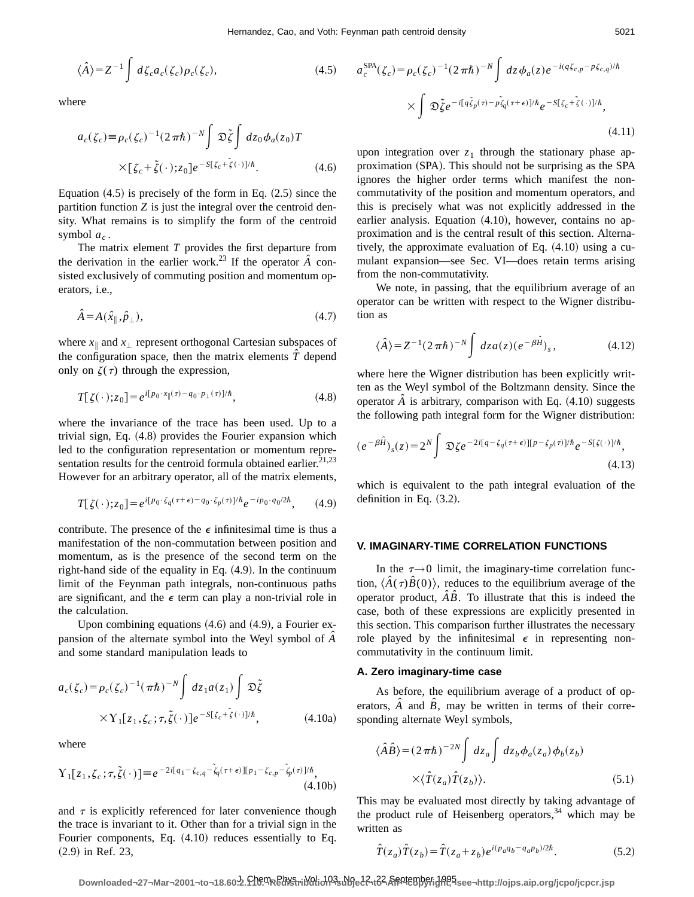$$
\langle \hat{A} \rangle = Z^{-1} \int d\zeta_c a_c(\zeta_c) \rho_c(\zeta_c), \tag{4.5}
$$

where

$$
a_c(\zeta_c) \equiv \rho_c(\zeta_c)^{-1} (2\pi\hbar)^{-N} \int \mathfrak{D}\tilde{\zeta} \int dz_0 \phi_a(z_0) T
$$
  
 
$$
\times [\zeta_c + \tilde{\zeta}(\cdot); z_0] e^{-S[\zeta_c + \tilde{\zeta}(\cdot)]/\hbar}.
$$
 (4.6)

Equation  $(4.5)$  is precisely of the form in Eq.  $(2.5)$  since the partition function *Z* is just the integral over the centroid density. What remains is to simplify the form of the centroid symbol  $a_c$ .

The matrix element *T* provides the first departure from the derivation in the earlier work.<sup>23</sup> If the operator  $\hat{A}$  consisted exclusively of commuting position and momentum operators, i.e.,

$$
\hat{A} = A(\hat{x}_{\parallel}, \hat{p}_{\perp}),\tag{4.7}
$$

where  $x_{\parallel}$  and  $x_{\perp}$  represent orthogonal Cartesian subspaces of the configuration space, then the matrix elements  $\hat{T}$  depend only on  $\zeta(\tau)$  through the expression,

$$
T[\zeta(\cdot);z_0] = e^{i[p_0 \cdot x_\parallel(\tau) - q_0 \cdot p_\perp(\tau)]/\hbar},\tag{4.8}
$$

where the invariance of the trace has been used. Up to a trivial sign, Eq.  $(4.8)$  provides the Fourier expansion which led to the configuration representation or momentum representation results for the centroid formula obtained earlier.<sup>21,23</sup> However for an arbitrary operator, all of the matrix elements,

$$
T[\zeta(\cdot);z_0] = e^{i[p_0 \cdot \zeta_q(\tau + \epsilon) - q_0 \cdot \zeta_p(\tau)]/\hbar} e^{-ip_0 \cdot q_0/2\hbar}, \qquad (4.9)
$$

contribute. The presence of the  $\epsilon$  infinitesimal time is thus a manifestation of the non-commutation between position and momentum, as is the presence of the second term on the right-hand side of the equality in Eq.  $(4.9)$ . In the continuum limit of the Feynman path integrals, non-continuous paths are significant, and the  $\epsilon$  term can play a non-trivial role in the calculation.

Upon combining equations  $(4.6)$  and  $(4.9)$ , a Fourier expansion of the alternate symbol into the Weyl symbol of *Aˆ* and some standard manipulation leads to

$$
a_c(\zeta_c) = \rho_c(\zeta_c)^{-1} (\pi \hbar)^{-N} \int dz_1 a(z_1) \int \mathfrak{D}\tilde{\zeta}
$$
  
 
$$
\times \Upsilon_1[z_1, \zeta_c; \tau, \tilde{\zeta}(\cdot)]e^{-S[\zeta_c + \tilde{\zeta}(\cdot)]/\hbar}, \qquad (4.10a)
$$

where

$$
\Upsilon_1[z_1,\zeta_c;\tau,\tilde{\zeta}(\,\cdot\,)] \equiv e^{-2i[q_1-\zeta_{c,q}-\tilde{\zeta}_q(\tau+\epsilon)][p_1-\zeta_{c,p}-\tilde{\zeta}_p(\tau)]/\hbar},\tag{4.10b}
$$

and  $\tau$  is explicitly referenced for later convenience though the trace is invariant to it. Other than for a trivial sign in the Fourier components, Eq.  $(4.10)$  reduces essentially to Eq.  $(2.9)$  in Ref. 23,

$$
a_c^{\text{SPA}}(\zeta_c) = \rho_c(\zeta_c)^{-1} (2\pi\hbar)^{-N} \int dz \phi_a(z) e^{-i(q\zeta_{c,p} - p\zeta_{c,q})/\hbar}
$$
  
 
$$
\times \int \mathfrak{D}\tilde{\zeta} e^{-i[q\tilde{\zeta}_p(\tau) - p\tilde{\zeta}_q(\tau + \epsilon)]/\hbar} e^{-S[\zeta_c + \tilde{\zeta}(\cdot)]/\hbar},
$$
(4.11)

upon integration over  $z_1$  through the stationary phase approximation (SPA). This should not be surprising as the SPA ignores the higher order terms which manifest the noncommutativity of the position and momentum operators, and this is precisely what was not explicitly addressed in the earlier analysis. Equation  $(4.10)$ , however, contains no approximation and is the central result of this section. Alternatively, the approximate evaluation of Eq.  $(4.10)$  using a cumulant expansion—see Sec. VI—does retain terms arising from the non-commutativity.

We note, in passing, that the equilibrium average of an operator can be written with respect to the Wigner distribution as

$$
\langle \hat{A} \rangle = Z^{-1} (2 \pi \hbar)^{-N} \int dz a(z) (e^{-\beta \hat{H}})_{s}, \qquad (4.12)
$$

where here the Wigner distribution has been explicitly written as the Weyl symbol of the Boltzmann density. Since the operator  $\hat{A}$  is arbitrary, comparison with Eq.  $(4.10)$  suggests the following path integral form for the Wigner distribution:

$$
(e^{-\beta \hat{H}})_{s}(z) = 2^{N} \int \mathfrak{D}\zeta e^{-2i[q-\zeta_q(\tau+\epsilon)][p-\zeta_p(\tau)]/\hbar} e^{-S[\zeta(\cdot)]/\hbar},
$$
\n(4.13)

which is equivalent to the path integral evaluation of the definition in Eq.  $(3.2)$ .

#### **V. IMAGINARY-TIME CORRELATION FUNCTIONS**

In the  $\tau \rightarrow 0$  limit, the imaginary-time correlation function,  $\langle \hat{A}(\tau) \hat{B}(0) \rangle$ , reduces to the equilibrium average of the operator product,  $\hat{A}\hat{B}$ . To illustrate that this is indeed the case, both of these expressions are explicitly presented in this section. This comparison further illustrates the necessary role played by the infinitesimal  $\epsilon$  in representing noncommutativity in the continuum limit.

#### **A. Zero imaginary-time case**

As before, the equilibrium average of a product of operators,  $\hat{A}$  and  $\hat{B}$ , may be written in terms of their corresponding alternate Weyl symbols,

$$
\langle \hat{A}\hat{B} \rangle = (2\pi\hbar)^{-2N} \int dz_a \int dz_b \phi_a(z_a) \phi_b(z_b)
$$
  
 
$$
\times \langle \hat{T}(z_a) \hat{T}(z_b) \rangle.
$$
 (5.1)

This may be evaluated most directly by taking advantage of the product rule of Heisenberg operators,  $34$  which may be written as

$$
\hat{T}(z_a)\hat{T}(z_b) = \hat{T}(z_a + z_b)e^{i(p_aq_b - q_ap_b)/2\hbar}.\tag{5.2}
$$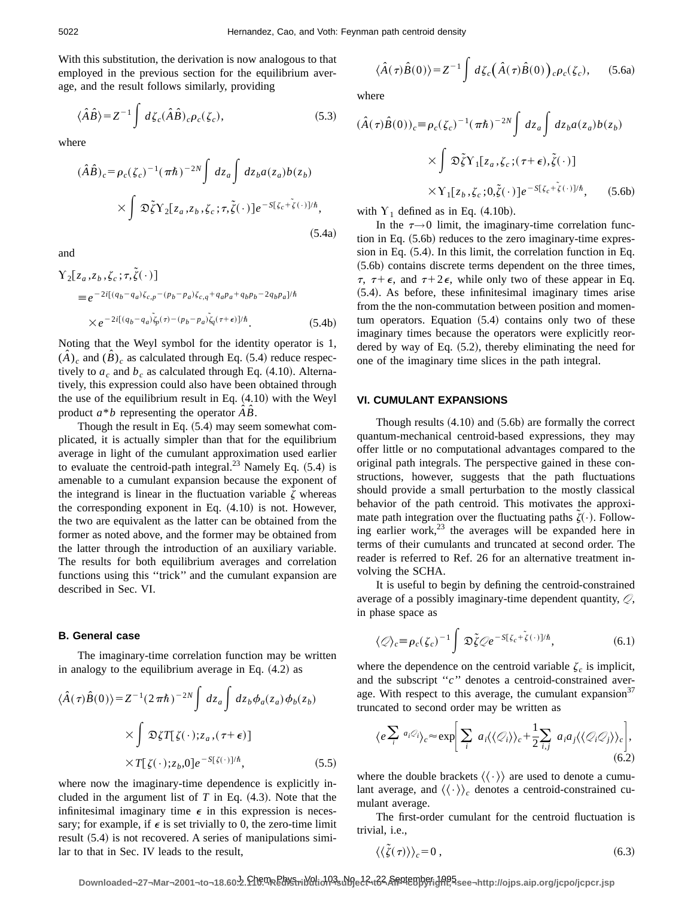With this substitution, the derivation is now analogous to that employed in the previous section for the equilibrium average, and the result follows similarly, providing

$$
\langle \hat{A}\hat{B}\rangle = Z^{-1} \int d\zeta_c(\hat{A}\hat{B})_c \rho_c(\zeta_c), \qquad (5.3)
$$

where

$$
(\hat{A}\hat{B})_c = \rho_c(\zeta_c)^{-1} (\pi \hbar)^{-2N} \int dz_a \int dz_b a(z_a) b(z_b)
$$

$$
\times \int \mathfrak{D}\tilde{\zeta} Y_2[z_a, z_b, \zeta_c; \tau, \tilde{\zeta}(\cdot)]e^{-S[\zeta_c + \tilde{\zeta}(\cdot)]/\hbar}, \tag{5.4a}
$$

and

$$
\begin{split} \Upsilon_{2} [z_a, z_b, \zeta_c; \tau, \tilde{\zeta}(\cdot)] \\ &= e^{-2i[(q_b - q_a)\zeta_{c,p} - (p_b - p_a)\zeta_{c,q} + q_a p_a + q_b p_b - 2q_b p_a]\hbar} \\ &\times e^{-2i[(q_b - q_a)\tilde{\zeta}_p(\tau) - (p_b - p_a)\tilde{\zeta}_q(\tau + \epsilon)]\hbar}. \end{split} \tag{5.4b}
$$

Noting that the Weyl symbol for the identity operator is 1,  $(A)$ <sub>c</sub> and  $(B)$ <sub>c</sub> as calculated through Eq.  $(5.4)$  reduce respectively to  $a_c$  and  $b_c$  as calculated through Eq.  $(4.10)$ . Alternatively, this expression could also have been obtained through the use of the equilibrium result in Eq.  $(4.10)$  with the Weyl product  $a * b$  representing the operator  $\hat{A}\hat{B}$ .

Though the result in Eq.  $(5.4)$  may seem somewhat complicated, it is actually simpler than that for the equilibrium average in light of the cumulant approximation used earlier to evaluate the centroid-path integral.<sup>23</sup> Namely Eq.  $(5.4)$  is amenable to a cumulant expansion because the exponent of the integrand is linear in the fluctuation variable  $\hat{\zeta}$  whereas the corresponding exponent in Eq.  $(4.10)$  is not. However, the two are equivalent as the latter can be obtained from the former as noted above, and the former may be obtained from the latter through the introduction of an auxiliary variable. The results for both equilibrium averages and correlation functions using this ''trick'' and the cumulant expansion are described in Sec. VI.

#### **B. General case**

The imaginary-time correlation function may be written in analogy to the equilibrium average in Eq.  $(4.2)$  as

$$
\langle \hat{A}(\tau)\hat{B}(0)\rangle = Z^{-1}(2\pi\hbar)^{-2N} \int dz_a \int dz_b \phi_a(z_a) \phi_b(z_b)
$$

$$
\times \int \mathfrak{D}\zeta T[\zeta(\cdot); z_a, (\tau + \epsilon)]
$$

$$
\times T[\zeta(\cdot); z_b, 0]e^{-S[\zeta(\cdot)]/\hbar}, \qquad (5.5)
$$

where now the imaginary-time dependence is explicitly included in the argument list of  $T$  in Eq.  $(4.3)$ . Note that the infinitesimal imaginary time  $\epsilon$  in this expression is necessary; for example, if  $\epsilon$  is set trivially to 0, the zero-time limit result  $(5.4)$  is not recovered. A series of manipulations similar to that in Sec. IV leads to the result,

$$
\langle \hat{A}(\tau)\hat{B}(0)\rangle = Z^{-1} \int d\zeta_c \big(\hat{A}(\tau)\hat{B}(0)\big)_c \rho_c(\zeta_c), \qquad (5.6a)
$$

where

$$
(\hat{A}(\tau)\hat{B}(0))_c \equiv \rho_c(\zeta_c)^{-1}(\pi\hbar)^{-2N} \int dz_a \int dz_b a(z_a) b(z_b)
$$

$$
\times \int \mathfrak{D}\tilde{\zeta} Y_1[z_a, \zeta_c; (\tau + \epsilon), \tilde{\zeta}(\cdot)]
$$

$$
\times Y_1[z_b, \zeta_c; 0, \tilde{\zeta}(\cdot)]e^{-S[\zeta_c + \tilde{\zeta}(\cdot)]/\hbar}, \qquad (5.6b)
$$

with  $Y_1$  defined as in Eq. (4.10b).

In the  $\tau \rightarrow 0$  limit, the imaginary-time correlation function in Eq.  $(5.6b)$  reduces to the zero imaginary-time expression in Eq.  $(5.4)$ . In this limit, the correlation function in Eq.  $(5.6b)$  contains discrete terms dependent on the three times,  $\tau$ ,  $\tau + \epsilon$ , and  $\tau + 2\epsilon$ , while only two of these appear in Eq.  $(5.4)$ . As before, these infinitesimal imaginary times arise from the the non-commutation between position and momentum operators. Equation  $(5.4)$  contains only two of these imaginary times because the operators were explicitly reordered by way of Eq.  $(5.2)$ , thereby eliminating the need for one of the imaginary time slices in the path integral.

### **VI. CUMULANT EXPANSIONS**

Though results  $(4.10)$  and  $(5.6b)$  are formally the correct quantum-mechanical centroid-based expressions, they may offer little or no computational advantages compared to the original path integrals. The perspective gained in these constructions, however, suggests that the path fluctuations should provide a small perturbation to the mostly classical behavior of the path centroid. This motivates the approximate path integration over the fluctuating paths  $\tilde{\zeta}(\cdot)$ . Following earlier work, $^{23}$  the averages will be expanded here in terms of their cumulants and truncated at second order. The reader is referred to Ref. 26 for an alternative treatment involving the SCHA.

It is useful to begin by defining the centroid-constrained average of a possibly imaginary-time dependent quantity, *Q*, in phase space as

$$
\langle \mathcal{Q} \rangle_c \equiv \rho_c(\zeta_c)^{-1} \int \mathfrak{D}\tilde{\zeta} \mathcal{Q} e^{-S[\zeta_c + \tilde{\zeta}(\cdot)]/\hbar}, \tag{6.1}
$$

where the dependence on the centroid variable  $\zeta_c$  is implicit, and the subscript ''*c*'' denotes a centroid-constrained average. With respect to this average, the cumulant expansion  $37$ truncated to second order may be written as

$$
\langle e \sum_{i} a_{i} \mathcal{Q}_{i} \rangle_{c} \approx \exp \bigg[ \sum_{i} a_{i} \langle \langle \mathcal{Q}_{i} \rangle \rangle_{c} + \frac{1}{2} \sum_{i,j} a_{i} a_{j} \langle \langle \mathcal{Q}_{i} \mathcal{Q}_{j} \rangle \rangle_{c} \bigg], \tag{6.2}
$$

where the double brackets  $\langle \langle \cdot \rangle \rangle$  are used to denote a cumulant average, and  $\langle \langle \cdot \rangle \rangle_c$  denotes a centroid-constrained cumulant average.

The first-order cumulant for the centroid fluctuation is trivial, i.e.,

$$
\langle\langle \tilde{\zeta}(\tau)\rangle\rangle_c = 0\,,\tag{6.3}
$$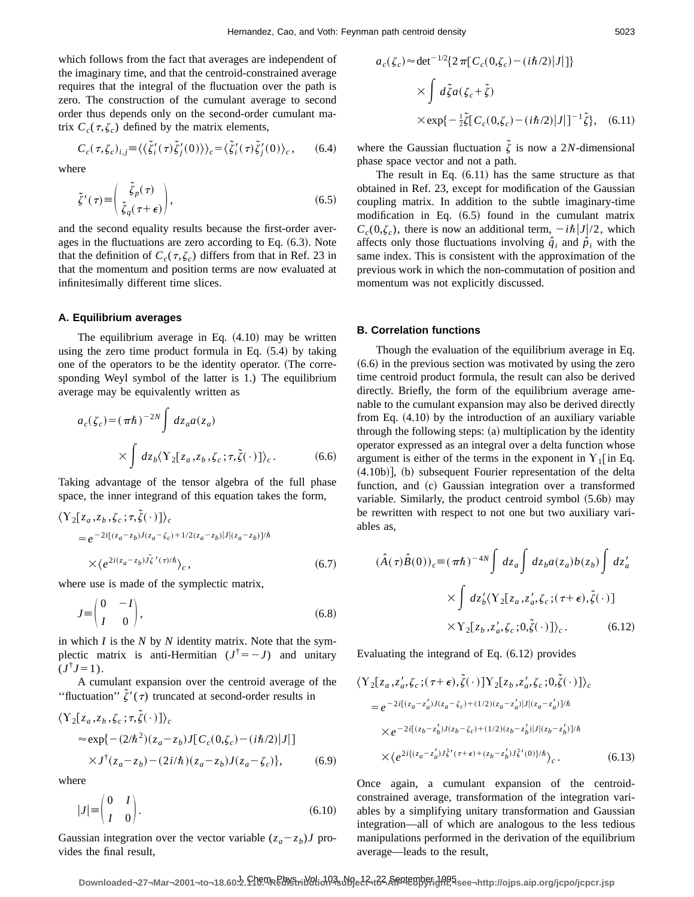which follows from the fact that averages are independent of the imaginary time, and that the centroid-constrained average requires that the integral of the fluctuation over the path is zero. The construction of the cumulant average to second order thus depends only on the second-order cumulant matrix  $C_c(\tau,\zeta_c)$  defined by the matrix elements,

$$
C_c(\tau, \zeta_c)_{i,j} = \langle \langle \tilde{\zeta}'_i(\tau) \tilde{\zeta}'_j(0) \rangle \rangle_c = \langle \tilde{\zeta}'_i(\tau) \tilde{\zeta}'_j(0) \rangle_c, \qquad (6.4)
$$

where

$$
\tilde{\zeta}'(\tau) \equiv \begin{pmatrix} \tilde{\zeta}_p(\tau) \\ \tilde{\zeta}_q(\tau + \epsilon) \end{pmatrix},\tag{6.5}
$$

and the second equality results because the first-order averages in the fluctuations are zero according to Eq.  $(6.3)$ . Note that the definition of  $C_c(\tau,\zeta_c)$  differs from that in Ref. 23 in that the momentum and position terms are now evaluated at infinitesimally different time slices.

### **A. Equilibrium averages**

The equilibrium average in Eq.  $(4.10)$  may be written using the zero time product formula in Eq.  $(5.4)$  by taking one of the operators to be the identity operator. (The corresponding Weyl symbol of the latter is 1.) The equilibrium average may be equivalently written as

$$
a_c(\zeta_c) = (\pi \hbar)^{-2N} \int dz_a a(z_a)
$$
  
 
$$
\times \int dz_b \langle Y_2[z_a, z_b, \zeta_c; \tau, \tilde{\zeta}(\cdot)] \rangle_c.
$$
 (6.6)

Taking advantage of the tensor algebra of the full phase space, the inner integrand of this equation takes the form,

$$
\langle Y_2[z_a, z_b, \zeta_c; \tau, \tilde{\zeta}(\cdot)] \rangle_c
$$
  
=  $e^{-2i[(z_a - z_b)J(z_a - \zeta_c) + 1/2(z_a - z_b)]/[(z_a - z_b)]/\hbar}$   

$$
\times \langle e^{2i(z_a - z_b)\tilde{\zeta}'(\tau)/\hbar} \rangle_c,
$$
 (6.7)

where use is made of the symplectic matrix,

$$
J \equiv \begin{pmatrix} 0 & -I \\ I & 0 \end{pmatrix}, \tag{6.8}
$$

in which *I* is the *N* by *N* identity matrix. Note that the symplectic matrix is anti-Hermitian  $(J^{\dagger}=-J)$  and unitary  $(J^{\dagger}J=1)$ .

A cumulant expansion over the centroid average of the "fluctuation"  $\tilde{\zeta}'(\tau)$  truncated at second-order results in

$$
\langle Y_2[z_a, z_b, \zeta_c; \tau, \tilde{\zeta}(\cdot)] \rangle_c
$$
  
\n
$$
\approx \exp\{-(2/\hbar^2)(z_a - z_b)J[C_c(0,\zeta_c) - (i\hbar/2)|J|]
$$
  
\n
$$
\times J^{\dagger}(z_a - z_b) - (2i/\hbar)(z_a - z_b)J(z_a - \zeta_c)\},
$$
\n(6.9)

where

$$
|J| = \begin{pmatrix} 0 & I \\ I & 0 \end{pmatrix}.
$$
 (6.10)

Gaussian integration over the vector variable  $(z_a - z_b)J$  provides the final result,

$$
a_c(\zeta_c) \approx \det^{-1/2} \{ 2\pi \left[ C_c(0,\zeta_c) - (i\hbar/2) |J| \right] \}
$$
  
 
$$
\times \int d\tilde{\zeta} a(\zeta_c + \tilde{\zeta})
$$
  
 
$$
\times \exp\{-\frac{1}{2}\tilde{\zeta} \left[ C_c(0,\zeta_c) - (i\hbar/2) |J| \right]^{-1} \tilde{\zeta} \}, \quad (6.11)
$$

where the Gaussian fluctuation  $\tilde{\zeta}$  is now a 2*N*-dimensional phase space vector and not a path.

The result in Eq.  $(6.11)$  has the same structure as that obtained in Ref. 23, except for modification of the Gaussian coupling matrix. In addition to the subtle imaginary-time modification in Eq.  $(6.5)$  found in the cumulant matrix  $C_c(0,\zeta_c)$ , there is now an additional term,  $-i\hbar|J|/2$ , which affects only those fluctuations involving  $\hat{q}_i$  and  $\hat{p}_i$  with the same index. This is consistent with the approximation of the previous work in which the non-commutation of position and momentum was not explicitly discussed.

#### **B. Correlation functions**

Though the evaluation of the equilibrium average in Eq.  $(6.6)$  in the previous section was motivated by using the zero time centroid product formula, the result can also be derived directly. Briefly, the form of the equilibrium average amenable to the cumulant expansion may also be derived directly from Eq.  $(4.10)$  by the introduction of an auxiliary variable through the following steps:  $(a)$  multiplication by the identity operator expressed as an integral over a delta function whose argument is either of the terms in the exponent in  $Y_1$ [in Eq.  $(4.10b)$ ,  $(b)$  subsequent Fourier representation of the delta function, and (c) Gaussian integration over a transformed variable. Similarly, the product centroid symbol  $(5.6b)$  may be rewritten with respect to not one but two auxiliary variables as,

$$
(\hat{A}(\tau)\hat{B}(0))_c \equiv (\pi\hbar)^{-4N} \int dz_a \int dz_b a(z_a) b(z_b) \int dz'_a
$$

$$
\times \int dz'_b \langle Y_2[z_a, z'_a, \zeta_c; (\tau + \epsilon), \tilde{\zeta}(\cdot)]
$$

$$
\times Y_2[z_b, z'_a, \zeta_c; 0, \tilde{\zeta}(\cdot)] \rangle_c.
$$
(6.12)

Evaluating the integrand of Eq.  $(6.12)$  provides

$$
\langle Y_2[z_a, z'_a, \zeta_c; (\tau + \epsilon), \tilde{\zeta}(\cdot)] Y_2[z_b, z'_a, \zeta_c; 0, \tilde{\zeta}(\cdot)] \rangle_c
$$
  
\n
$$
= e^{-2i[(z_a - z'_a)J(z_a - \zeta_c) + (1/2)(z_a - z'_a)]J|(z_a - z'_a)]/\hbar}
$$
  
\n
$$
\times e^{-2i[(z_b - z'_b)J(z_b - \zeta_c) + (1/2)(z_b - z'_b)]J|(z_b - z'_b)]/\hbar}
$$
  
\n
$$
\times \langle e^{2i\{(z_a - z'_a)J\tilde{\zeta}'(\tau + \epsilon) + (z_b - z'_b)J\tilde{\zeta}'(0)\}} \rangle \wedge_c.
$$
 (6.13)

Once again, a cumulant expansion of the centroidconstrained average, transformation of the integration variables by a simplifying unitary transformation and Gaussian integration—all of which are analogous to the less tedious manipulations performed in the derivation of the equilibrium average—leads to the result,

**Downloaded¬27¬Mar¬2001¬to¬18.60.2.110.¬Redistribution¬subject¬to¬AIP¬copyright,¬see¬http://ojps.aip.org/jcpo/jcpcr.jsp** J. Chem. Phys., Vol. 103, No. 12, 22 September 1995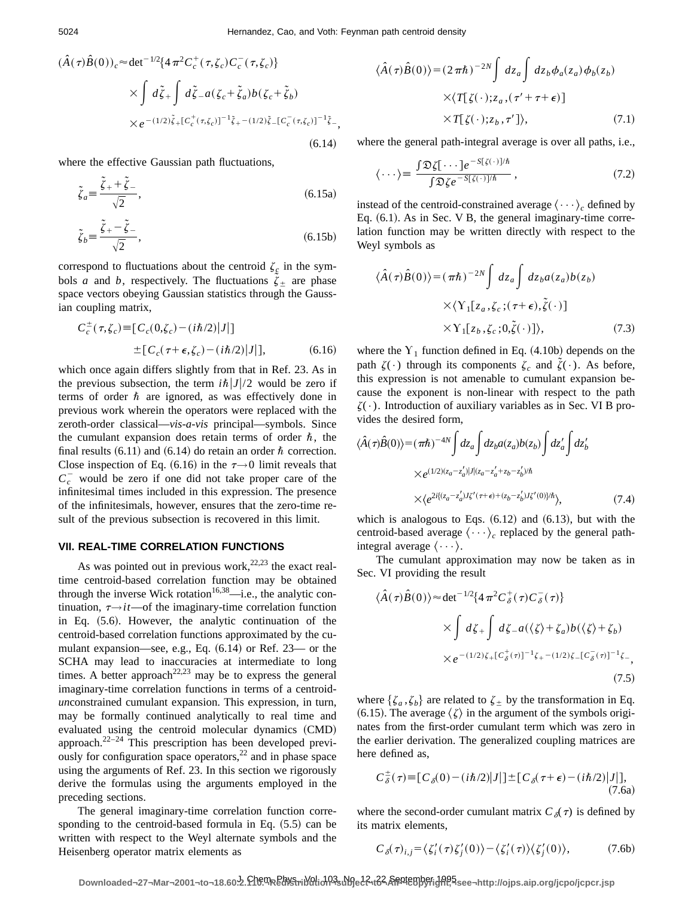$$
(\hat{A}(\tau)\hat{B}(0))_c \approx \det^{-1/2} \{ 4\pi^2 C_c^+(\tau, \zeta_c) C_c^-(\tau, \zeta_c) \}
$$
  
 
$$
\times \int d\tilde{\zeta}_+ \int d\tilde{\zeta}_- a(\zeta_c + \tilde{\zeta}_a) b(\zeta_c + \tilde{\zeta}_b)
$$
  
 
$$
\times e^{-(1/2)\tilde{\zeta}_+ [C_c^+(\tau, \zeta_c)]^{-1} \tilde{\zeta}_+ - (1/2)\tilde{\zeta}_- [C_c^-(\tau, \zeta_c)]^{-1} \tilde{\zeta}_-},
$$
  
(6.14)

where the effective Gaussian path fluctuations,

$$
\tilde{\zeta}_a = \frac{\tilde{\zeta}_+ + \tilde{\zeta}_-}{\sqrt{2}},\tag{6.15a}
$$

$$
\tilde{\zeta}_b = \frac{\tilde{\zeta}_+ - \tilde{\zeta}_-}{\sqrt{2}},\tag{6.15b}
$$

correspond to fluctuations about the centroid  $\zeta_c$  in the symbols *a* and *b*, respectively. The fluctuations  $\tilde{\zeta}_\pm$  are phase space vectors obeying Gaussian statistics through the Gaussian coupling matrix,

$$
C_c^{\pm}(\tau, \zeta_c) \equiv [C_c(0, \zeta_c) - (i\hbar/2)|J|]
$$
  
\n
$$
\pm [C_c(\tau + \epsilon, \zeta_c) - (i\hbar/2)|J|], \qquad (6.16)
$$

which once again differs slightly from that in Ref. 23. As in the previous subsection, the term  $i\hbar$   $J/2$  would be zero if terms of order  $\hbar$  are ignored, as was effectively done in previous work wherein the operators were replaced with the zeroth-order classical—*vis-a-vis* principal—symbols. Since the cumulant expansion does retain terms of order  $\hbar$ , the final results  $(6.11)$  and  $(6.14)$  do retain an order  $\hbar$  correction. Close inspection of Eq.  $(6.16)$  in the  $\tau \rightarrow 0$  limit reveals that  $C_c^-$  would be zero if one did not take proper care of the infinitesimal times included in this expression. The presence of the infinitesimals, however, ensures that the zero-time result of the previous subsection is recovered in this limit.

## **VII. REAL-TIME CORRELATION FUNCTIONS**

As was pointed out in previous work,  $22,23$  the exact realtime centroid-based correlation function may be obtained through the inverse Wick rotation<sup>16,38</sup>—i.e., the analytic continuation,  $\tau \rightarrow it$ —of the imaginary-time correlation function in Eq.  $(5.6)$ . However, the analytic continuation of the centroid-based correlation functions approximated by the cumulant expansion—see, e.g., Eq.  $(6.14)$  or Ref. 23— or the SCHA may lead to inaccuracies at intermediate to long times. A better approach<sup>22,23</sup> may be to express the general imaginary-time correlation functions in terms of a centroid*un*constrained cumulant expansion. This expression, in turn, may be formally continued analytically to real time and evaluated using the centroid molecular dynamics (CMD) approach.22–24 This prescription has been developed previously for configuration space operators, $^{22}$  and in phase space using the arguments of Ref. 23. In this section we rigorously derive the formulas using the arguments employed in the preceding sections.

The general imaginary-time correlation function corresponding to the centroid-based formula in Eq.  $(5.5)$  can be written with respect to the Weyl alternate symbols and the Heisenberg operator matrix elements as

$$
\langle \hat{A}(\tau)\hat{B}(0)\rangle = (2\pi\hbar)^{-2N} \int dz_a \int dz_b \phi_a(z_a) \phi_b(z_b)
$$
  
 
$$
\times \langle T[\zeta(\cdot); z_a, (\tau' + \tau + \epsilon)]
$$
  
 
$$
\times T[\zeta(\cdot); z_b, \tau'] \rangle, \qquad (7.1)
$$

where the general path-integral average is over all paths, i.e.,

$$
\langle \cdots \rangle = \frac{\int \mathfrak{D}\zeta[\cdots]e^{-S[\zeta(\cdot)]/\hbar}}{\int \mathfrak{D}\zeta e^{-S[\zeta(\cdot)]/\hbar}}, \qquad (7.2)
$$

instead of the centroid-constrained average  $\langle \cdots \rangle_c$  defined by Eq.  $(6.1)$ . As in Sec. V B, the general imaginary-time correlation function may be written directly with respect to the Weyl symbols as

$$
\langle \hat{A}(\tau)\hat{B}(0)\rangle = (\pi\hbar)^{-2N} \int dz_a \int dz_b a(z_a) b(z_b)
$$

$$
\times \langle Y_1[z_a, \zeta_c; (\tau + \epsilon), \tilde{\zeta}(\cdot)]
$$

$$
\times Y_1[z_b, \zeta_c; 0, \tilde{\zeta}(\cdot)] \rangle, \tag{7.3}
$$

where the  $Y_1$  function defined in Eq. (4.10b) depends on the path  $\zeta(\cdot)$  through its components  $\zeta_c$  and  $\tilde{\zeta}(\cdot)$ . As before, this expression is not amenable to cumulant expansion because the exponent is non-linear with respect to the path  $\zeta(\cdot)$ . Introduction of auxiliary variables as in Sec. VI B provides the desired form,

$$
\langle \hat{A}(\tau)\hat{B}(0)\rangle = (\pi\hbar)^{-4N} \int dz_a \int dz_b a(z_a) b(z_b) \int dz'_a \int dz'_b
$$
  
 
$$
\times e^{(1/2)(z_a - z'_a)|J|(z_a - z'_a + z_b - z'_b)/\hbar}
$$
  
 
$$
\times \langle e^{2i\{(z_a - z'_a)J\zeta'(\tau + \epsilon) + (z_b - z'_b)J\zeta'(0)\}/\hbar} \rangle, \tag{7.4}
$$

which is analogous to Eqs.  $(6.12)$  and  $(6.13)$ , but with the centroid-based average  $\langle \cdots \rangle_c$  replaced by the general pathintegral average  $\langle \cdots \rangle$ .

The cumulant approximation may now be taken as in Sec. VI providing the result

$$
\langle \hat{A}(\tau)\hat{B}(0)\rangle \approx \det^{-1/2}\{4\pi^2 C_{\delta}^+(\tau)C_{\delta}^-(\tau)\}\times \int d\zeta_+\int d\zeta_- a(\langle \zeta \rangle + \zeta_a) b(\langle \zeta \rangle + \zeta_b)\times e^{-(1/2)\zeta_+[C_{\delta}^+(\tau)]^{-1}\zeta_+ - (1/2)\zeta_-[C_{\delta}^-(\tau)]^{-1}\zeta_-},
$$
\n(7.5)

where  $\{\zeta_a, \zeta_b\}$  are related to  $\zeta_{\pm}$  by the transformation in Eq.  $(6.15)$ . The average  $\langle \zeta \rangle$  in the argument of the symbols originates from the first-order cumulant term which was zero in the earlier derivation. The generalized coupling matrices are here defined as,

$$
C_{\delta}^{\pm}(\tau)\equiv[C_{\delta}(0)-(i\hbar/2)|J|\pm[C_{\delta}(\tau+\epsilon)-(i\hbar/2)|J|],\tag{7.6a}
$$

where the second-order cumulant matrix  $C_{\delta}(\tau)$  is defined by its matrix elements,

$$
C_{\delta}(\tau)_{i,j} = \langle \zeta_i'(\tau) \zeta_j'(0) \rangle - \langle \zeta_i'(\tau) \rangle \langle \zeta_j'(0) \rangle, \tag{7.6b}
$$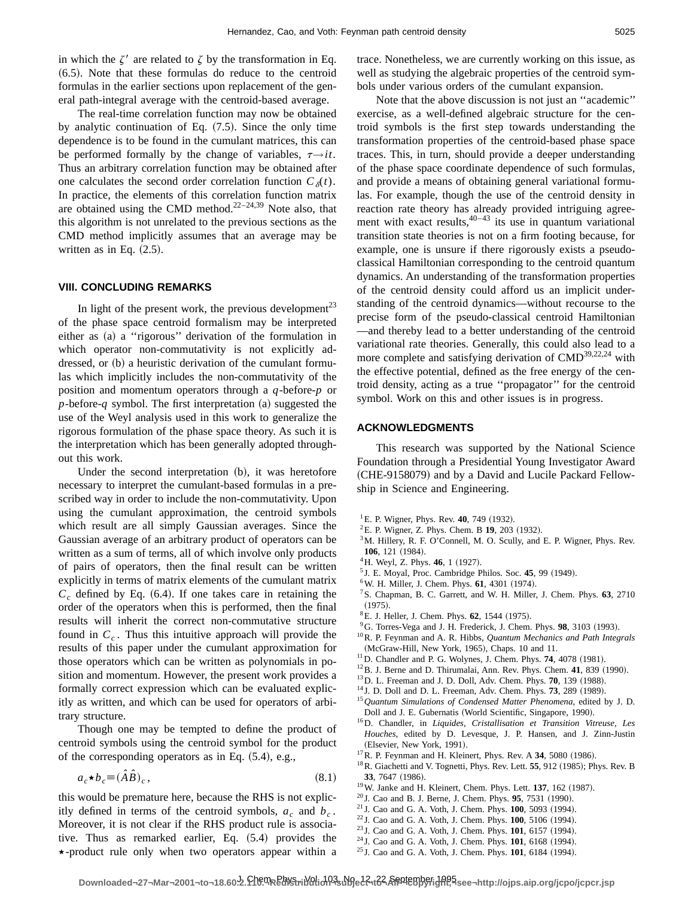in which the  $\zeta'$  are related to  $\zeta$  by the transformation in Eq.  $(6.5)$ . Note that these formulas do reduce to the centroid formulas in the earlier sections upon replacement of the general path-integral average with the centroid-based average.

The real-time correlation function may now be obtained by analytic continuation of Eq.  $(7.5)$ . Since the only time dependence is to be found in the cumulant matrices, this can be performed formally by the change of variables,  $\tau \rightarrow it$ . Thus an arbitrary correlation function may be obtained after one calculates the second order correlation function  $C_{\delta}(t)$ . In practice, the elements of this correlation function matrix are obtained using the CMD method.<sup>22–24,39</sup> Note also, that this algorithm is not unrelated to the previous sections as the CMD method implicitly assumes that an average may be written as in Eq.  $(2.5)$ .

## **VIII. CONCLUDING REMARKS**

In light of the present work, the previous development<sup>23</sup> of the phase space centroid formalism may be interpreted either as (a) a "rigorous" derivation of the formulation in which operator non-commutativity is not explicitly addressed, or (b) a heuristic derivation of the cumulant formulas which implicitly includes the non-commutativity of the position and momentum operators through a *q*-before-*p* or  $p$ -before- $q$  symbol. The first interpretation  $(a)$  suggested the use of the Weyl analysis used in this work to generalize the rigorous formulation of the phase space theory. As such it is the interpretation which has been generally adopted throughout this work.

Under the second interpretation  $(b)$ , it was heretofore necessary to interpret the cumulant-based formulas in a prescribed way in order to include the non-commutativity. Upon using the cumulant approximation, the centroid symbols which result are all simply Gaussian averages. Since the Gaussian average of an arbitrary product of operators can be written as a sum of terms, all of which involve only products of pairs of operators, then the final result can be written explicitly in terms of matrix elements of the cumulant matrix  $C_c$  defined by Eq.  $(6.4)$ . If one takes care in retaining the order of the operators when this is performed, then the final results will inherit the correct non-commutative structure found in  $C_c$ . Thus this intuitive approach will provide the results of this paper under the cumulant approximation for those operators which can be written as polynomials in position and momentum. However, the present work provides a formally correct expression which can be evaluated explicitly as written, and which can be used for operators of arbitrary structure.

Though one may be tempted to define the product of centroid symbols using the centroid symbol for the product of the corresponding operators as in Eq.  $(5.4)$ , e.g.,

$$
a_c \star b_c \equiv (\hat{A}\hat{B})_c, \tag{8.1}
$$

this would be premature here, because the RHS is not explicitly defined in terms of the centroid symbols,  $a_c$  and  $b_c$ . Moreover, it is not clear if the RHS product rule is associative. Thus as remarked earlier, Eq.  $(5.4)$  provides the  $\star$ -product rule only when two operators appear within a trace. Nonetheless, we are currently working on this issue, as well as studying the algebraic properties of the centroid symbols under various orders of the cumulant expansion.

Note that the above discussion is not just an ''academic'' exercise, as a well-defined algebraic structure for the centroid symbols is the first step towards understanding the transformation properties of the centroid-based phase space traces. This, in turn, should provide a deeper understanding of the phase space coordinate dependence of such formulas, and provide a means of obtaining general variational formulas. For example, though the use of the centroid density in reaction rate theory has already provided intriguing agreement with exact results,  $40-43$  its use in quantum variational transition state theories is not on a firm footing because, for example, one is unsure if there rigorously exists a pseudoclassical Hamiltonian corresponding to the centroid quantum dynamics. An understanding of the transformation properties of the centroid density could afford us an implicit understanding of the centroid dynamics—without recourse to the precise form of the pseudo-classical centroid Hamiltonian —and thereby lead to a better understanding of the centroid variational rate theories. Generally, this could also lead to a more complete and satisfying derivation of CMD<sup>39,22,24</sup> with the effective potential, defined as the free energy of the centroid density, acting as a true ''propagator'' for the centroid symbol. Work on this and other issues is in progress.

### **ACKNOWLEDGMENTS**

This research was supported by the National Science Foundation through a Presidential Young Investigator Award (CHE-9158079) and by a David and Lucile Packard Fellowship in Science and Engineering.

- $^{1}$ E. P. Wigner, Phys. Rev. 40, 749 (1932).
- $2$ E. P. Wigner, Z. Phys. Chem. B 19, 203 (1932).
- <sup>3</sup>M. Hillery, R. F. O'Connell, M. O. Scully, and E. P. Wigner, Phys. Rev. **106.** 121 (1984).
- <sup>4</sup>H. Weyl, Z. Phys. **46**, 1 (1927).
- <sup>5</sup> J. E. Moyal, Proc. Cambridge Philos. Soc. 45, 99 (1949).
- $6$ W. H. Miller, J. Chem. Phys. 61, 4301 (1974).
- 7S. Chapman, B. C. Garrett, and W. H. Miller, J. Chem. Phys. **63**, 2710  $(1975).$
- <sup>8</sup> E. J. Heller, J. Chem. Phys. **62**, 1544 (1975).
- $^{9}$ G. Torres-Vega and J. H. Frederick, J. Chem. Phys. **98**, 3103 (1993).
- 10R. P. Feynman and A. R. Hibbs, *Quantum Mechanics and Path Integrals* (McGraw-Hill, New York, 1965), Chaps. 10 and 11.
- $11$  D. Chandler and P. G. Wolynes, J. Chem. Phys. **74**, 4078  $(1981)$ .
- $12$  B. J. Berne and D. Thirumalai, Ann. Rev. Phys. Chem. **41**, 839 (1990).
- <sup>13</sup> D. L. Freeman and J. D. Doll, Adv. Chem. Phys. **70**, 139 (1988).
- $14$  J. D. Doll and D. L. Freeman, Adv. Chem. Phys. **73**, 289  $(1989)$ .
- <sup>15</sup>*Quantum Simulations of Condensed Matter Phenomena*, edited by J. D. Doll and J. E. Gubernatis (World Scientific, Singapore, 1990).
- 16D. Chandler, in *Liquides, Cristallisation et Transition Vitreuse, Les Houches*, edited by D. Levesque, J. P. Hansen, and J. Zinn-Justin (Elsevier, New York, 1991).
- <sup>17</sup>R. P. Feynman and H. Kleinert, Phys. Rev. A 34, 5080 (1986).
- <sup>18</sup>R. Giachetti and V. Tognetti, Phys. Rev. Lett. **55**, 912 (1985); Phys. Rev. B **33**, 7647 (1986).
- <sup>19</sup>W. Janke and H. Kleinert, Chem. Phys. Lett. **137**, 162 (1987).
- <sup>20</sup> J. Cao and B. J. Berne, J. Chem. Phys. **95**, 7531 (1990).
- <sup>21</sup> J. Cao and G. A. Voth, J. Chem. Phys. **100**, 5093 (1994).
- <sup>22</sup> J. Cao and G. A. Voth, J. Chem. Phys. **100**, 5106 (1994).
- <sup>23</sup> J. Cao and G. A. Voth, J. Chem. Phys. **101**, 6157 (1994).
- <sup>24</sup> J. Cao and G. A. Voth, J. Chem. Phys. **101**, 6168 (1994).
- <sup>25</sup> J. Cao and G. A. Voth, J. Chem. Phys. **101**, 6184 (1994).